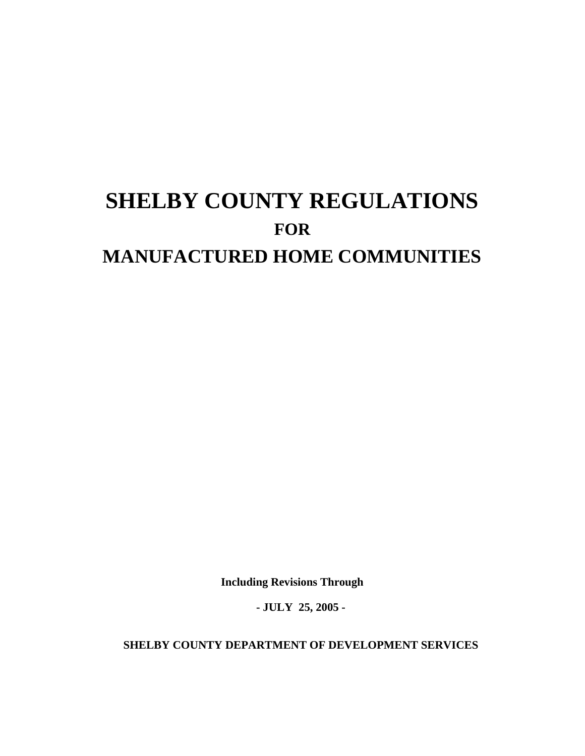# **SHELBY COUNTY REGULATIONS FOR MANUFACTURED HOME COMMUNITIES**

**Including Revisions Through** 

**- JULY 25, 2005 -** 

**SHELBY COUNTY DEPARTMENT OF DEVELOPMENT SERVICES**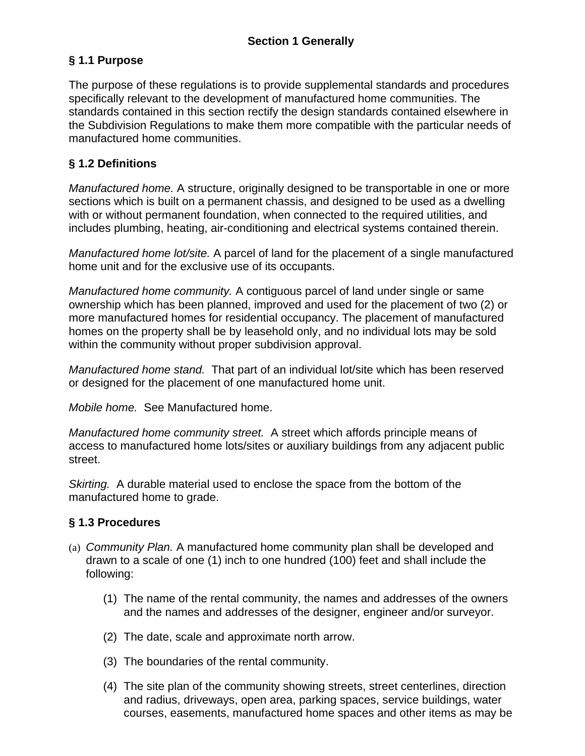# **§ 1.1 Purpose**

The purpose of these regulations is to provide supplemental standards and procedures specifically relevant to the development of manufactured home communities. The standards contained in this section rectify the design standards contained elsewhere in the Subdivision Regulations to make them more compatible with the particular needs of manufactured home communities.

# **§ 1.2 Definitions**

*Manufactured home.* A structure, originally designed to be transportable in one or more sections which is built on a permanent chassis, and designed to be used as a dwelling with or without permanent foundation, when connected to the required utilities, and includes plumbing, heating, air-conditioning and electrical systems contained therein.

*Manufactured home lot/site.* A parcel of land for the placement of a single manufactured home unit and for the exclusive use of its occupants.

*Manufactured home community.* A contiguous parcel of land under single or same ownership which has been planned, improved and used for the placement of two (2) or more manufactured homes for residential occupancy. The placement of manufactured homes on the property shall be by leasehold only, and no individual lots may be sold within the community without proper subdivision approval.

*Manufactured home stand.* That part of an individual lot/site which has been reserved or designed for the placement of one manufactured home unit.

*Mobile home.*See Manufactured home.

*Manufactured home community street.* A street which affords principle means of access to manufactured home lots/sites or auxiliary buildings from any adjacent public street.

*Skirting.* A durable material used to enclose the space from the bottom of the manufactured home to grade.

# **§ 1.3 Procedures**

- (a) *Community Plan.* A manufactured home community plan shall be developed and drawn to a scale of one (1) inch to one hundred (100) feet and shall include the following:
	- (1) The name of the rental community, the names and addresses of the owners and the names and addresses of the designer, engineer and/or surveyor.
	- (2) The date, scale and approximate north arrow.
	- (3) The boundaries of the rental community.
	- (4) The site plan of the community showing streets, street centerlines, direction and radius, driveways, open area, parking spaces, service buildings, water courses, easements, manufactured home spaces and other items as may be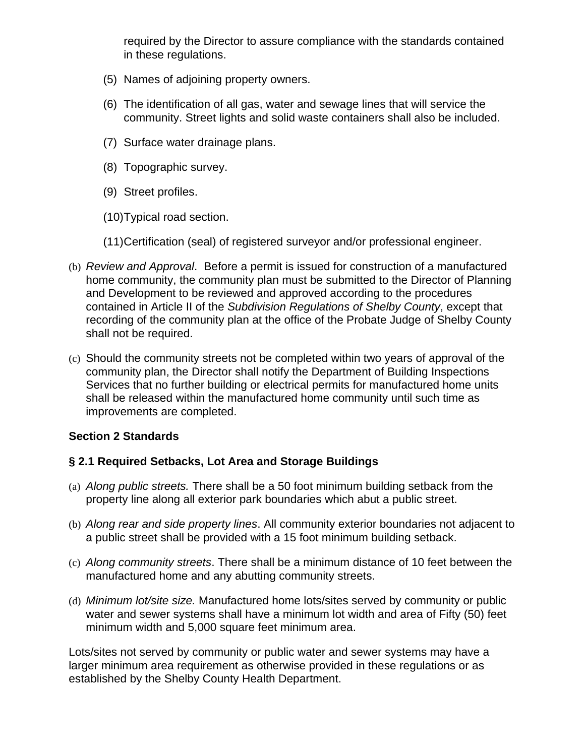required by the Director to assure compliance with the standards contained in these regulations.

- (5) Names of adjoining property owners.
- (6) The identification of all gas, water and sewage lines that will service the community. Street lights and solid waste containers shall also be included.
- (7) Surface water drainage plans.
- (8) Topographic survey.
- (9) Street profiles.
- (10) Typical road section.
- (11) Certification (seal) of registered surveyor and/or professional engineer.
- (b) *Review and Approval*. Before a permit is issued for construction of a manufactured home community, the community plan must be submitted to the Director of Planning and Development to be reviewed and approved according to the procedures contained in Article II of the *Subdivision Regulations of Shelby County*, except that recording of the community plan at the office of the Probate Judge of Shelby County shall not be required.
- (c) Should the community streets not be completed within two years of approval of the community plan, the Director shall notify the Department of Building Inspections Services that no further building or electrical permits for manufactured home units shall be released within the manufactured home community until such time as improvements are completed.

# **Section 2 Standards**

# **§ 2.1 Required Setbacks, Lot Area and Storage Buildings**

- (a) *Along public streets.* There shall be a 50 foot minimum building setback from the property line along all exterior park boundaries which abut a public street.
- (b) *Along rear and side property lines*. All community exterior boundaries not adjacent to a public street shall be provided with a 15 foot minimum building setback.
- (c) *Along community streets*. There shall be a minimum distance of 10 feet between the manufactured home and any abutting community streets.
- (d) *Minimum lot/site size.* Manufactured home lots/sites served by community or public water and sewer systems shall have a minimum lot width and area of Fifty (50) feet minimum width and 5,000 square feet minimum area.

Lots/sites not served by community or public water and sewer systems may have a larger minimum area requirement as otherwise provided in these regulations or as established by the Shelby County Health Department.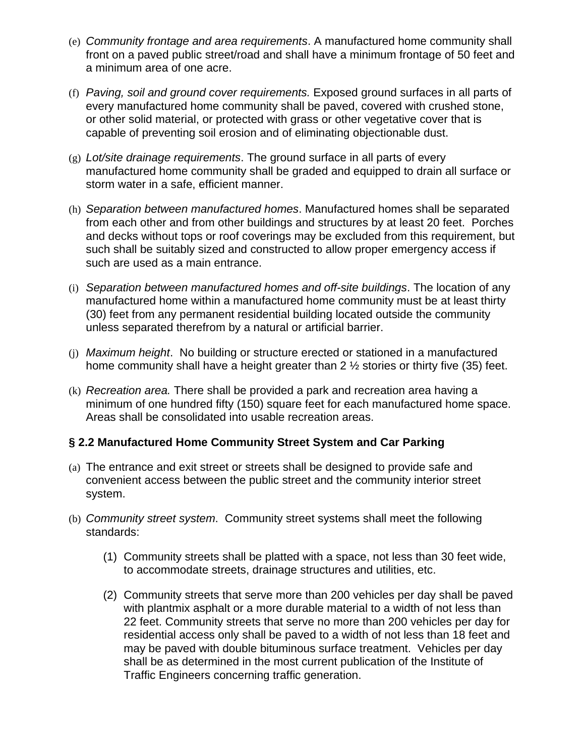- (e) *Community frontage and area requirements*. A manufactured home community shall front on a paved public street/road and shall have a minimum frontage of 50 feet and a minimum area of one acre.
- (f) *Paving, soil and ground cover requirements.* Exposed ground surfaces in all parts of every manufactured home community shall be paved, covered with crushed stone, or other solid material, or protected with grass or other vegetative cover that is capable of preventing soil erosion and of eliminating objectionable dust.
- (g) *Lot/site drainage requirements*. The ground surface in all parts of every manufactured home community shall be graded and equipped to drain all surface or storm water in a safe, efficient manner.
- (h) *Separation between manufactured homes*. Manufactured homes shall be separated from each other and from other buildings and structures by at least 20 feet. Porches and decks without tops or roof coverings may be excluded from this requirement, but such shall be suitably sized and constructed to allow proper emergency access if such are used as a main entrance.
- (i) *Separation between manufactured homes and off-site buildings*. The location of any manufactured home within a manufactured home community must be at least thirty (30) feet from any permanent residential building located outside the community unless separated therefrom by a natural or artificial barrier.
- (j) *Maximum height*. No building or structure erected or stationed in a manufactured home community shall have a height greater than 2 ½ stories or thirty five (35) feet.
- (k) *Recreation area.* There shall be provided a park and recreation area having a minimum of one hundred fifty (150) square feet for each manufactured home space. Areas shall be consolidated into usable recreation areas.

#### **§ 2.2 Manufactured Home Community Street System and Car Parking**

- (a) The entrance and exit street or streets shall be designed to provide safe and convenient access between the public street and the community interior street system.
- (b) *Community street system*. Community street systems shall meet the following standards:
	- (1) Community streets shall be platted with a space, not less than 30 feet wide, to accommodate streets, drainage structures and utilities, etc.
	- (2) Community streets that serve more than 200 vehicles per day shall be paved with plantmix asphalt or a more durable material to a width of not less than 22 feet. Community streets that serve no more than 200 vehicles per day for residential access only shall be paved to a width of not less than 18 feet and may be paved with double bituminous surface treatment. Vehicles per day shall be as determined in the most current publication of the Institute of Traffic Engineers concerning traffic generation.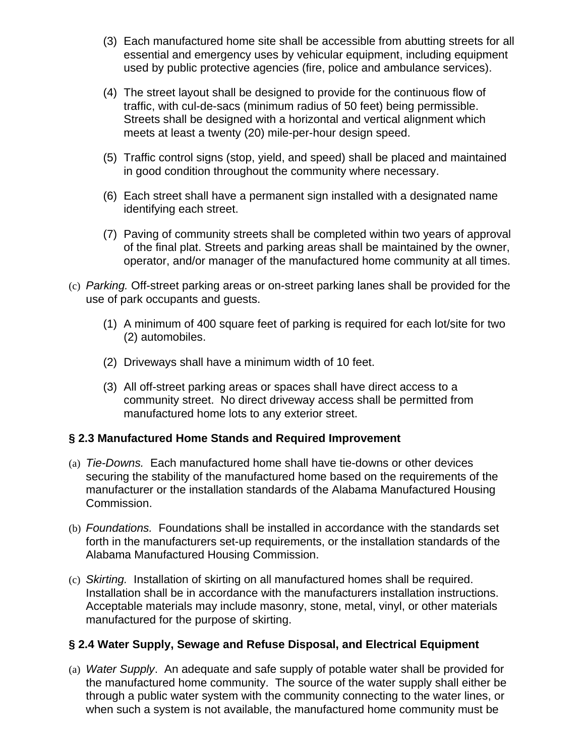- (3) Each manufactured home site shall be accessible from abutting streets for all essential and emergency uses by vehicular equipment, including equipment used by public protective agencies (fire, police and ambulance services).
- (4) The street layout shall be designed to provide for the continuous flow of traffic, with cul-de-sacs (minimum radius of 50 feet) being permissible. Streets shall be designed with a horizontal and vertical alignment which meets at least a twenty (20) mile-per-hour design speed.
- (5) Traffic control signs (stop, yield, and speed) shall be placed and maintained in good condition throughout the community where necessary.
- (6) Each street shall have a permanent sign installed with a designated name identifying each street.
- (7) Paving of community streets shall be completed within two years of approval of the final plat. Streets and parking areas shall be maintained by the owner, operator, and/or manager of the manufactured home community at all times.
- (c) *Parking.* Off-street parking areas or on-street parking lanes shall be provided for the use of park occupants and guests.
	- (1) A minimum of 400 square feet of parking is required for each lot/site for two (2) automobiles.
	- (2) Driveways shall have a minimum width of 10 feet.
	- (3) All off-street parking areas or spaces shall have direct access to a community street. No direct driveway access shall be permitted from manufactured home lots to any exterior street.

# **§ 2.3 Manufactured Home Stands and Required Improvement**

- (a) *Tie-Downs.* Each manufactured home shall have tie-downs or other devices securing the stability of the manufactured home based on the requirements of the manufacturer or the installation standards of the Alabama Manufactured Housing Commission.
- (b) *Foundations.* Foundations shall be installed in accordance with the standards set forth in the manufacturers set-up requirements, or the installation standards of the Alabama Manufactured Housing Commission.
- (c) *Skirting.* Installation of skirting on all manufactured homes shall be required. Installation shall be in accordance with the manufacturers installation instructions. Acceptable materials may include masonry, stone, metal, vinyl, or other materials manufactured for the purpose of skirting.

# **§ 2.4 Water Supply, Sewage and Refuse Disposal, and Electrical Equipment**

(a) *Water Supply*. An adequate and safe supply of potable water shall be provided for the manufactured home community. The source of the water supply shall either be through a public water system with the community connecting to the water lines, or when such a system is not available, the manufactured home community must be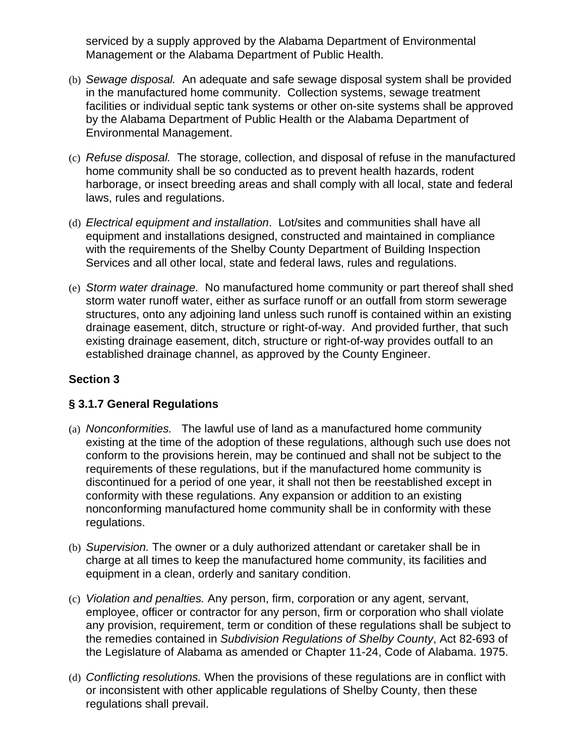serviced by a supply approved by the Alabama Department of Environmental Management or the Alabama Department of Public Health.

- (b) *Sewage disposal.* An adequate and safe sewage disposal system shall be provided in the manufactured home community. Collection systems, sewage treatment facilities or individual septic tank systems or other on-site systems shall be approved by the Alabama Department of Public Health or the Alabama Department of Environmental Management.
- (c) *Refuse disposal.* The storage, collection, and disposal of refuse in the manufactured home community shall be so conducted as to prevent health hazards, rodent harborage, or insect breeding areas and shall comply with all local, state and federal laws, rules and regulations.
- (d) *Electrical equipment and installation*. Lot/sites and communities shall have all equipment and installations designed, constructed and maintained in compliance with the requirements of the Shelby County Department of Building Inspection Services and all other local, state and federal laws, rules and regulations.
- (e) *Storm water drainage.* No manufactured home community or part thereof shall shed storm water runoff water, either as surface runoff or an outfall from storm sewerage structures, onto any adjoining land unless such runoff is contained within an existing drainage easement, ditch, structure or right-of-way. And provided further, that such existing drainage easement, ditch, structure or right-of-way provides outfall to an established drainage channel, as approved by the County Engineer.

# **Section 3**

# **§ 3.1.7 General Regulations**

- (a) *Nonconformities.* The lawful use of land as a manufactured home community existing at the time of the adoption of these regulations, although such use does not conform to the provisions herein, may be continued and shall not be subject to the requirements of these regulations, but if the manufactured home community is discontinued for a period of one year, it shall not then be reestablished except in conformity with these regulations. Any expansion or addition to an existing nonconforming manufactured home community shall be in conformity with these regulations.
- (b) *Supervision.* The owner or a duly authorized attendant or caretaker shall be in charge at all times to keep the manufactured home community, its facilities and equipment in a clean, orderly and sanitary condition.
- (c) *Violation and penalties.* Any person, firm, corporation or any agent, servant, employee, officer or contractor for any person, firm or corporation who shall violate any provision, requirement, term or condition of these regulations shall be subject to the remedies contained in *Subdivision Regulations of Shelby County*, Act 82-693 of the Legislature of Alabama as amended or Chapter 11-24, Code of Alabama. 1975.
- (d) *Conflicting resolutions.* When the provisions of these regulations are in conflict with or inconsistent with other applicable regulations of Shelby County, then these regulations shall prevail.